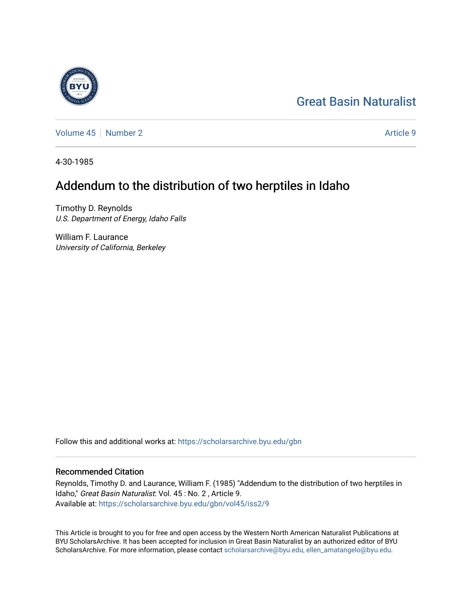# [Great Basin Naturalist](https://scholarsarchive.byu.edu/gbn)

[Volume 45](https://scholarsarchive.byu.edu/gbn/vol45) | [Number 2](https://scholarsarchive.byu.edu/gbn/vol45/iss2) Article 9

4-30-1985

## Addendum to the distribution of two herptiles in Idaho

Timothy D. Reynolds U.S. Department of Energy, Idaho Falls

William F. Laurance University of California, Berkeley

Follow this and additional works at: [https://scholarsarchive.byu.edu/gbn](https://scholarsarchive.byu.edu/gbn?utm_source=scholarsarchive.byu.edu%2Fgbn%2Fvol45%2Fiss2%2F9&utm_medium=PDF&utm_campaign=PDFCoverPages) 

### Recommended Citation

Reynolds, Timothy D. and Laurance, William F. (1985) "Addendum to the distribution of two herptiles in Idaho," Great Basin Naturalist: Vol. 45 : No. 2 , Article 9. Available at: [https://scholarsarchive.byu.edu/gbn/vol45/iss2/9](https://scholarsarchive.byu.edu/gbn/vol45/iss2/9?utm_source=scholarsarchive.byu.edu%2Fgbn%2Fvol45%2Fiss2%2F9&utm_medium=PDF&utm_campaign=PDFCoverPages)

This Article is brought to you for free and open access by the Western North American Naturalist Publications at BYU ScholarsArchive. It has been accepted for inclusion in Great Basin Naturalist by an authorized editor of BYU ScholarsArchive. For more information, please contact [scholarsarchive@byu.edu, ellen\\_amatangelo@byu.edu.](mailto:scholarsarchive@byu.edu,%20ellen_amatangelo@byu.edu)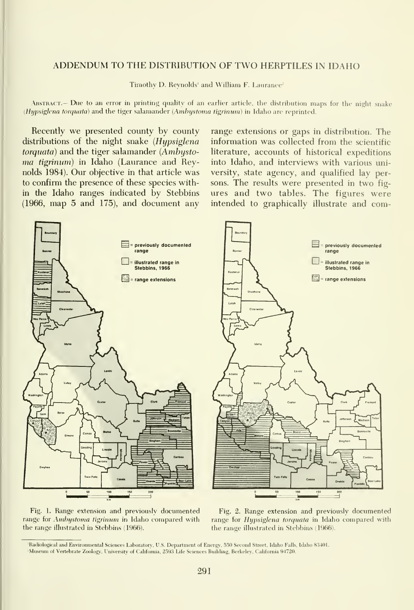### ADDENDUM TO THE DISTRIBUTION OF TWO HERPTILES IN IDAHO

Timothy D. Reynolds' and William F. Laurance<sup>2</sup>

ABSTRACT.— Due to an error in printing quality of an earlier article, the distribution maps for the night snake (Hypsiglena torquata) and the tiger salamander (Ambystoma tigrinum) in Idaho are reprinted.

Recently we presented county by county distributions of the night snake (Hypsiglena  $torquata$ ) and the tiger salamander (Ambystoma tigrinum) in Idaho (Laurance and Reynolds 1984). Our objective in that article was to confirm the presence of these species within the Idaho ranges indicated by Stebbins (1966, map 5 and 175), and document any

range extensions or gaps in distribution. The information was collected from the scientific literature, accounts of historical expeditions into Idaho, and interviews with various university, state agency, and qualified lay persons. The results were presented in two fig ures and two tables. The figures were intended to graphically illustrate and com-



Fig. 1. Range extension and previously documented range for Ambustoma tigrinum in Idaho compared with the range illustrated in Stebbins (1966).

Fig. 2. Range extension and previously documented range for Hypsiglena torquata in Idaho compared with the range illustrated in Stebbins (1966).

<sup>&#</sup>x27;Radiological and Environmental Sciences Laboratory, U.S. Department of Energy. 550 Second Street, Idaho Falls. Idaho 83401. -Museum of Vertebrate Zoology, University of California, 2.59.3 Life Sciences Building, Berkeley, California 94720.